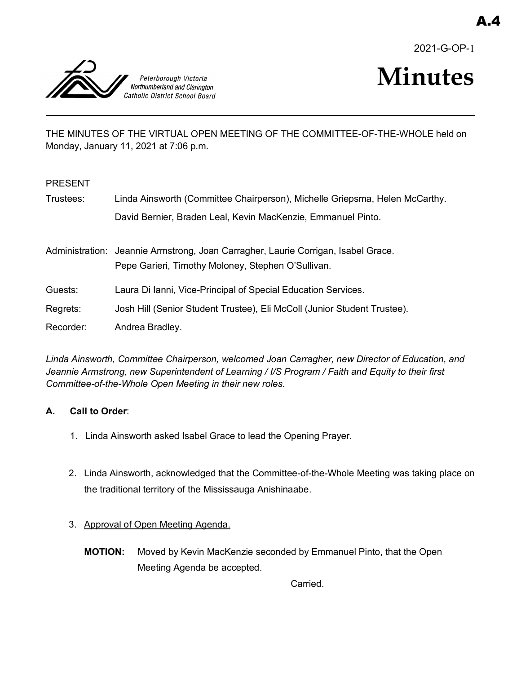2021-G-OP-1



# **Minutes**

THE MINUTES OF THE VIRTUAL OPEN MEETING OF THE COMMITTEE-OF-THE-WHOLE held on Monday, January 11, 2021 at 7:06 p.m.

## PRESENT

| Trustees: | Linda Ainsworth (Committee Chairperson), Michelle Griepsma, Helen McCarthy.                                                             |
|-----------|-----------------------------------------------------------------------------------------------------------------------------------------|
|           | David Bernier, Braden Leal, Kevin MacKenzie, Emmanuel Pinto.                                                                            |
|           | Administration: Jeannie Armstrong, Joan Carragher, Laurie Corrigan, Isabel Grace.<br>Pepe Garieri, Timothy Moloney, Stephen O'Sullivan. |
| Guests:   | Laura Di Ianni, Vice-Principal of Special Education Services.                                                                           |
| Regrets:  | Josh Hill (Senior Student Trustee), Eli McColl (Junior Student Trustee).                                                                |

Recorder: Andrea Bradley.

*Linda Ainsworth, Committee Chairperson, welcomed Joan Carragher, new Director of Education, and Jeannie Armstrong, new Superintendent of Learning / I/S Program / Faith and Equity to their first Committee-of-the-Whole Open Meeting in their new roles.* 

# **A. Call to Order**:

- 1. Linda Ainsworth asked Isabel Grace to lead the Opening Prayer.
- 2. Linda Ainsworth, acknowledged that the Committee-of-the-Whole Meeting was taking place on the traditional territory of the Mississauga Anishinaabe.
- 3. Approval of Open Meeting Agenda.
	- **MOTION:** Moved by Kevin MacKenzie seconded by Emmanuel Pinto, that the Open Meeting Agenda be accepted.

Carried.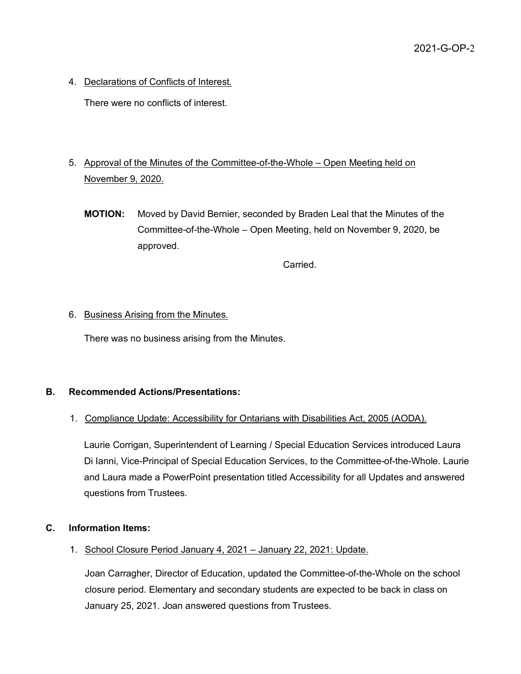4. Declarations of Conflicts of Interest.

There were no conflicts of interest.

- 5. Approval of the Minutes of the Committee-of-the-Whole Open Meeting held on November 9, 2020.
	- **MOTION:** Moved by David Bernier, seconded by Braden Leal that the Minutes of the Committee-of-the-Whole – Open Meeting, held on November 9, 2020, be approved.

Carried.

## 6. Business Arising from the Minutes.

There was no business arising from the Minutes.

# **B. Recommended Actions/Presentations:**

# 1. Compliance Update: Accessibility for Ontarians with Disabilities Act, 2005 (AODA).

Laurie Corrigan, Superintendent of Learning / Special Education Services introduced Laura Di Ianni, Vice-Principal of Special Education Services, to the Committee-of-the-Whole. Laurie and Laura made a PowerPoint presentation titled Accessibility for all Updates and answered questions from Trustees.

## **C. Information Items:**

1. School Closure Period January 4, 2021 – January 22, 2021: Update.

Joan Carragher, Director of Education, updated the Committee-of-the-Whole on the school closure period. Elementary and secondary students are expected to be back in class on January 25, 2021. Joan answered questions from Trustees.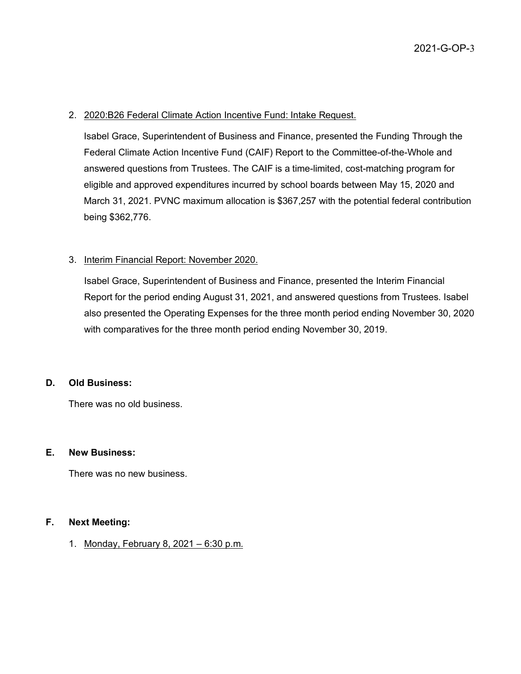#### 2. 2020:B26 Federal Climate Action Incentive Fund: Intake Request.

Isabel Grace, Superintendent of Business and Finance, presented the Funding Through the Federal Climate Action Incentive Fund (CAIF) Report to the Committee-of-the-Whole and answered questions from Trustees. The CAIF is a time-limited, cost-matching program for eligible and approved expenditures incurred by school boards between May 15, 2020 and March 31, 2021. PVNC maximum allocation is \$367,257 with the potential federal contribution being \$362,776.

## 3. Interim Financial Report: November 2020.

Isabel Grace, Superintendent of Business and Finance, presented the Interim Financial Report for the period ending August 31, 2021, and answered questions from Trustees. Isabel also presented the Operating Expenses for the three month period ending November 30, 2020 with comparatives for the three month period ending November 30, 2019.

#### **D. Old Business:**

There was no old business.

#### **E. New Business:**

There was no new business.

#### **F. Next Meeting:**

1. Monday, February 8, 2021 – 6:30 p.m.